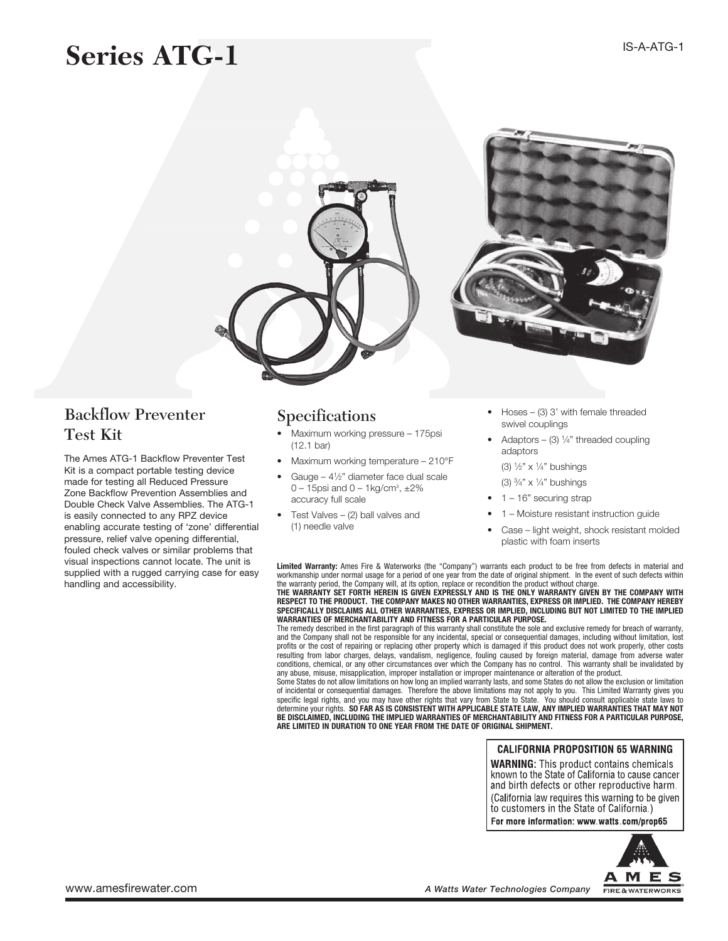# **Series ATG-1**



### Backflow Preventer Test Kit

The Ames ATG-1 Backflow Preventer Test Kit is a compact portable testing device made for testing all Reduced Pressure Zone Backflow Prevention Assemblies and Double Check Valve Assemblies. The ATG-1 is easily connected to any RPZ device enabling accurate testing of 'zone' differential pressure, relief valve opening differential, fouled check valves or similar problems that visual inspections cannot locate. The unit is supplied with a rugged carrying case for easy handling and accessibility.

### Specifications

- Maximum working pressure 175psi (12.1 bar)
- Maximum working temperature 210°F
- Gauge  $4\frac{1}{2}$ " diameter face dual scale  $0 - 15$ psi and  $0 - 1$ kg/cm<sup>2</sup>,  $\pm 2\%$ accuracy full scale
- Test Valves  $-$  (2) ball valves and (1) needle valve
- $Hoses (3)$  3' with female threaded swivel couplings
- Adaptors (3)  $\frac{1}{4}$ " threaded coupling adaptors

 (3) <sup>1</sup>⁄2" x <sup>1</sup>⁄4" bushings

 (3) <sup>3</sup>⁄4" x <sup>1</sup>⁄4" bushings

- $1 16$ " securing strap
- 1 Moisture resistant instruction guide
- Case light weight, shock resistant molded plastic with foam inserts

Limited Warranty: Ames Fire & Waterworks (the "Company") warrants each product to be free from defects in material and workmanship under normal usage for a period of one year from the date of original shipment. In the event of such defects within<br>the warranty period, the Company will, at its option, replace or recondition the product witho THE WARRANTY SET FORTH HEREIN IS GIVEN EXPRESSLY AND IS THE ONLY WARRANTY GIVEN BY THE COMPANY WITH RESPECT TO THE PRODUCT. THE COMPANY MAKES NO OTHER WARRANTIES, EXPRESS OR IMPLIED. THE COMPANY HEREBY SPECIFICALLY DISCLAIMS ALL OTHER WARRANTIES, EXPRESS OR IMPLIED, INCLUDING BUT NOT LIMITED TO THE IMPLIED WARRANTIES OF MERCHANTABILITY AND FITNESS FOR A PARTICULAR PURPOSE.

The remedy described in the first paragraph of this warranty shall constitute the sole and exclusive remedy for breach of warranty, and the Company shall not be responsible for any incidental, special or consequential damages, including without limitation, lost profits or the cost of repairing or replacing other property which is damaged if this product does not work properly, other costs resulting from labor charges, delays, vandalism, negligence, fouling caused by foreign material, damage from adverse water conditions, chemical, or any other circumstances over which the Company has no control. This warranty shall be invalidated by any abuse, misuse, misapplication, improper installation or improper maintenance or alteration of the product.

Some States do not allow limitations on how long an implied warranty lasts, and some States do not allow the exclusion or limitation of incidental or consequential damages. Therefore the above limitations may not apply to you. This Limited Warranty gives you<br>specific legal rights, and you may have other rights that vary from State to State. You should c determine your rights. SO FAR AS IS CONSISTENT WITH APPLICABLE STATE LAW, ANY IMPLIED WARRANTIES THAT MAY NOT BE DISCLAIMED, INCLUDING THE IMPLIED WARRANTIES OF MERCHANTABILITY AND FITNESS FOR A PARTICULAR PURPOSE,<br>ARE LIMITED IN DURATION TO ONE YEAR FROM THE DATE OF ORIGINAL SHIPMENT.

#### **CALIFORNIA PROPOSITION 65 WARNING**

**WARNING:** This product contains chemicals known to the State of California to cause cancer and birth defects or other reproductive harm. (California law requires this warning to be given to customers in the State of California.)

For more information: www.watts.com/prop65

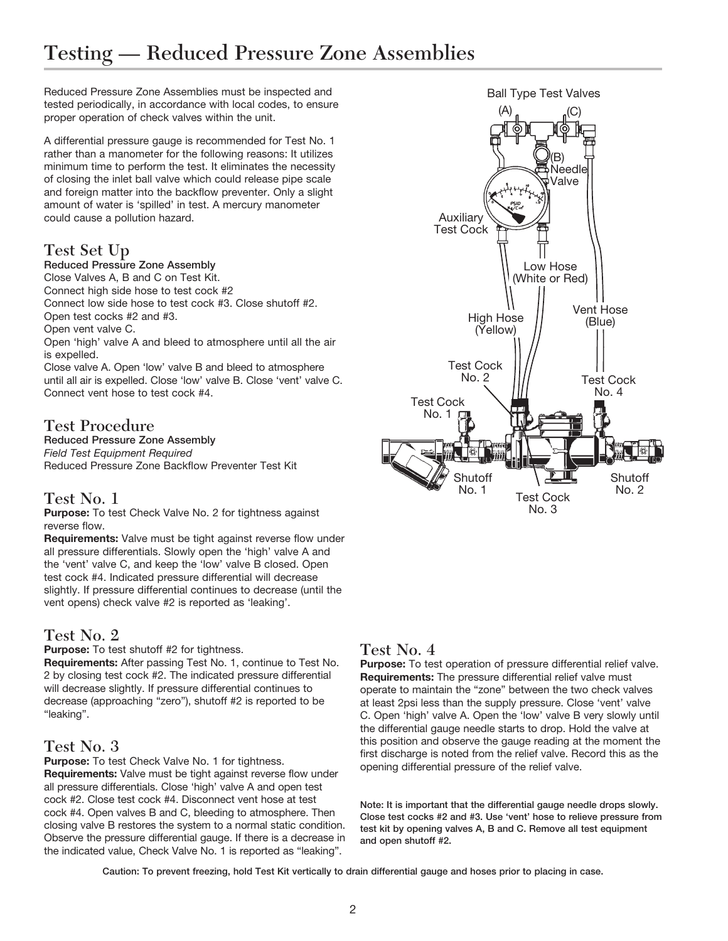## Testing — Reduced Pressure Zone Assemblies

Reduced Pressure Zone Assemblies must be inspected and tested periodically, in accordance with local codes, to ensure proper operation of check valves within the unit.

A differential pressure gauge is recommended for Test No. 1 rather than a manometer for the following reasons: It utilizes minimum time to perform the test. It eliminates the necessity of closing the inlet ball valve which could release pipe scale and foreign matter into the backflow preventer. Only a slight amount of water is 'spilled' in test. A mercury manometer could cause a pollution hazard.

#### Test Set Up

#### Reduced Pressure Zone Assembly

Close Valves A, B and C on Test Kit.

Connect high side hose to test cock #2

Connect low side hose to test cock #3. Close shutoff #2.

Open test cocks #2 and #3. Open vent valve C.

Open 'high' valve A and bleed to atmosphere until all the air is expelled.

Close valve A. Open 'low' valve B and bleed to atmosphere until all air is expelled. Close 'low' valve B. Close 'vent' valve C. Connect vent hose to test cock #4.

#### Test Procedure

Reduced Pressure Zone Assembly *Field Test Equipment Required* Reduced Pressure Zone Backflow Preventer Test Kit

#### Test No. 1

Purpose: To test Check Valve No. 2 for tightness against reverse flow.

Requirements: Valve must be tight against reverse flow under all pressure differentials. Slowly open the 'high' valve A and the 'vent' valve C, and keep the 'low' valve B closed. Open test cock #4. Indicated pressure differential will decrease slightly. If pressure differential continues to decrease (until the vent opens) check valve #2 is reported as 'leaking'.

#### Test No. 2

Purpose: To test shutoff #2 for tightness.

Requirements: After passing Test No. 1, continue to Test No. 2 by closing test cock #2. The indicated pressure differential will decrease slightly. If pressure differential continues to decrease (approaching "zero"), shutoff #2 is reported to be "leaking".

#### Test No. 3

Purpose: To test Check Valve No. 1 for tightness. Requirements: Valve must be tight against reverse flow under all pressure differentials. Close 'high' valve A and open test cock #2. Close test cock #4. Disconnect vent hose at test cock #4. Open valves B and C, bleeding to atmosphere. Then closing valve B restores the system to a normal static condition. Observe the pressure differential gauge. If there is a decrease in the indicated value, Check Valve No. 1 is reported as "leaking".



Purpose: To test operation of pressure differential relief valve. Requirements: The pressure differential relief valve must operate to maintain the "zone" between the two check valves at least 2psi less than the supply pressure. Close 'vent' valve C. Open 'high' valve A. Open the 'low' valve B very slowly until the differential gauge needle starts to drop. Hold the valve at this position and observe the gauge reading at the moment the first discharge is noted from the relief valve. Record this as the opening differential pressure of the relief valve.

Note: It is important that the differential gauge needle drops slowly. Close test cocks #2 and #3. Use 'vent' hose to relieve pressure from test kit by opening valves A, B and C. Remove all test equipment and open shutoff #2.

Caution: To prevent freezing, hold Test Kit vertically to drain differential gauge and hoses prior to placing in case.

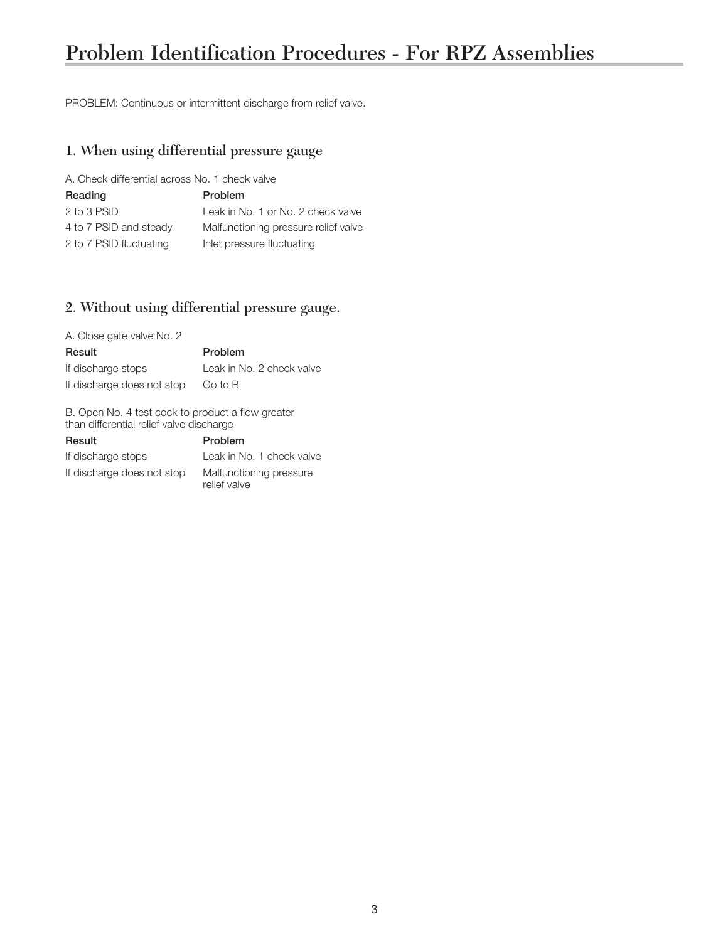## Problem Identification Procedures - For RPZ Assemblies

PROBLEM: Continuous or intermittent discharge from relief valve.

#### 1. When using differential pressure gauge

A. Check differential across No. 1 check valve

| Reading                 | <b>Problem</b>                       |
|-------------------------|--------------------------------------|
| 2 to 3 PSID             | Leak in No. 1 or No. 2 check valve   |
| 4 to 7 PSID and steady  | Malfunctioning pressure relief valve |
| 2 to 7 PSID fluctuating | Inlet pressure fluctuating           |

#### 2. Without using differential pressure gauge.

| A. Close gate valve No. 2  |                           |
|----------------------------|---------------------------|
| Result                     | Problem                   |
| If discharge stops         | Leak in No. 2 check valve |
| If discharge does not stop | Go to B                   |

B. Open No. 4 test cock to product a flow greater than differential relief valve discharge

| Result                     | Problem                                 |
|----------------------------|-----------------------------------------|
| If discharge stops         | Leak in No. 1 check valve               |
| If discharge does not stop | Malfunctioning pressure<br>relief valve |